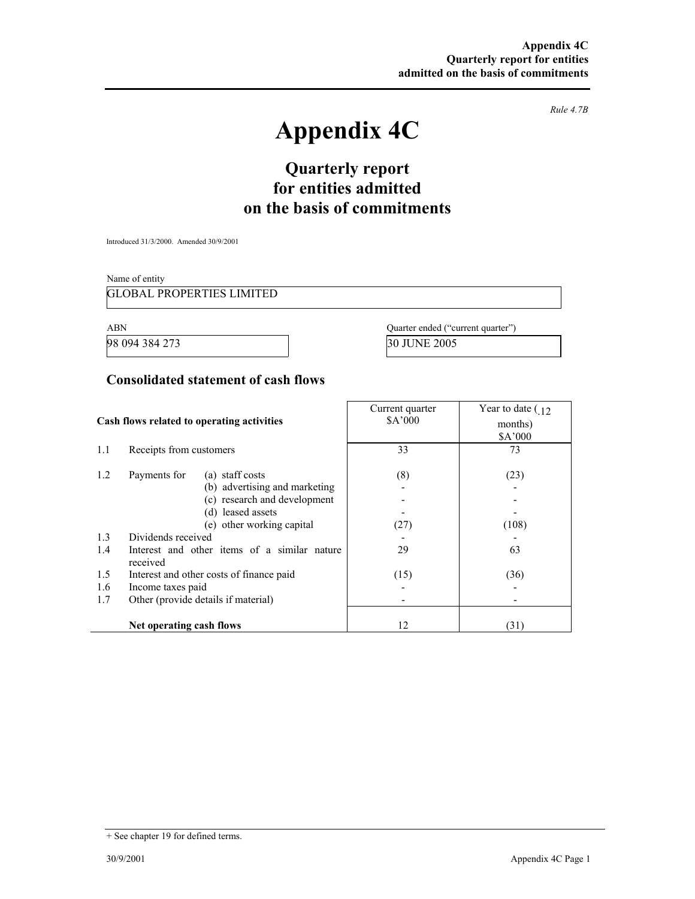*Rule 4.7B* 

# **Appendix 4C**

## **Quarterly report for entities admitted on the basis of commitments**

Introduced 31/3/2000. Amended 30/9/2001

Name of entity

GLOBAL PROPERTIES LIMITED

98 094 384 273 30 JUNE 2005

ABN Quarter ended ("current quarter")

#### **Consolidated statement of cash flows**

|                                            |                                                          | Current quarter | Year to date $\left(12\right)$ |
|--------------------------------------------|----------------------------------------------------------|-----------------|--------------------------------|
| Cash flows related to operating activities |                                                          | \$A'000         | months)                        |
|                                            |                                                          |                 | \$A'000                        |
| 1.1                                        | Receipts from customers                                  | 33              | 73                             |
| 1.2                                        | Payments for<br>(a) staff costs                          | (8)             | (23)                           |
|                                            | (b) advertising and marketing                            |                 |                                |
|                                            | (c) research and development                             |                 |                                |
|                                            | (d) leased assets                                        |                 |                                |
|                                            | (e) other working capital                                | (27)            | (108)                          |
| 1.3                                        | Dividends received                                       |                 |                                |
| 1.4                                        | Interest and other items of a similar nature<br>received | 29              | 63                             |
| 1.5                                        | Interest and other costs of finance paid                 | (15)            | (36)                           |
| 1.6                                        | Income taxes paid                                        |                 |                                |
| 1.7                                        | Other (provide details if material)                      |                 |                                |
|                                            |                                                          |                 |                                |
|                                            | Net operating cash flows                                 | 12              | (31)                           |

<sup>+</sup> See chapter 19 for defined terms.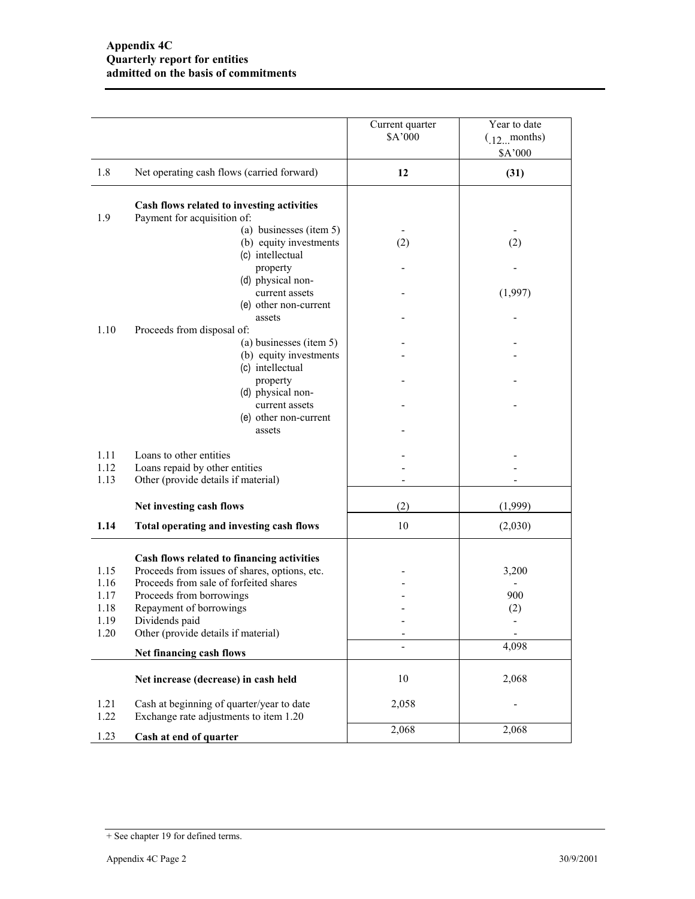|              |                                                                                     | Current quarter<br>\$A'000 | Year to date<br>$(12 \dots$ months)<br>\$A'000 |
|--------------|-------------------------------------------------------------------------------------|----------------------------|------------------------------------------------|
| 1.8          | Net operating cash flows (carried forward)                                          | 12                         | (31)                                           |
| 1.9          | Cash flows related to investing activities<br>Payment for acquisition of:           |                            |                                                |
|              | (a) businesses (item 5)<br>(b) equity investments<br>(c) intellectual               | (2)                        | (2)                                            |
|              | property<br>(d) physical non-<br>current assets                                     |                            | (1,997)                                        |
|              | (e) other non-current<br>assets                                                     |                            |                                                |
| 1.10         | Proceeds from disposal of:<br>(a) businesses (item 5)<br>(b) equity investments     |                            |                                                |
|              | (c) intellectual<br>property<br>(d) physical non-                                   |                            |                                                |
|              | current assets<br>(e) other non-current<br>assets                                   |                            |                                                |
| 1.11<br>1.12 | Loans to other entities<br>Loans repaid by other entities                           |                            |                                                |
| 1.13         | Other (provide details if material)                                                 |                            |                                                |
|              | Net investing cash flows                                                            | (2)                        | (1,999)                                        |
| 1.14         | Total operating and investing cash flows                                            | 10                         | (2,030)                                        |
|              | Cash flows related to financing activities                                          |                            |                                                |
| 1.15         | Proceeds from issues of shares, options, etc.                                       |                            | 3,200                                          |
| 1.16<br>1.17 | Proceeds from sale of forfeited shares<br>Proceeds from borrowings                  |                            | 900                                            |
| 1.18         | Repayment of borrowings                                                             |                            | (2)                                            |
| 1.19         | Dividends paid                                                                      |                            |                                                |
| 1.20         | Other (provide details if material)                                                 | $\overline{\phantom{0}}$   |                                                |
|              | Net financing cash flows                                                            |                            | 4,098                                          |
|              | Net increase (decrease) in cash held                                                | 10                         | 2,068                                          |
| 1.21<br>1.22 | Cash at beginning of quarter/year to date<br>Exchange rate adjustments to item 1.20 | 2,058                      |                                                |
| 1.23         | Cash at end of quarter                                                              | 2,068                      | 2,068                                          |

<sup>+</sup> See chapter 19 for defined terms.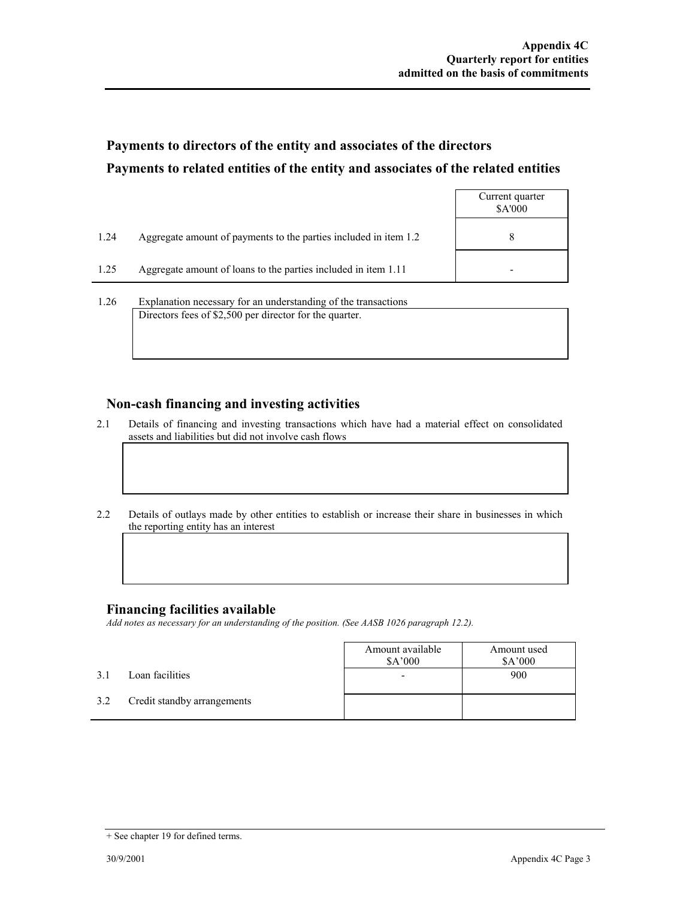## **Payments to directors of the entity and associates of the directors Payments to related entities of the entity and associates of the related entities**

|      |                                                                  | Current quarter<br><b>SA'000</b> |
|------|------------------------------------------------------------------|----------------------------------|
| 1.24 | Aggregate amount of payments to the parties included in item 1.2 | 8                                |
| 1.25 | Aggregate amount of loans to the parties included in item 1.11   |                                  |
|      |                                                                  |                                  |

1.26 Explanation necessary for an understanding of the transactions Directors fees of \$2,500 per director for the quarter.

#### **Non-cash financing and investing activities**

- 2.1 Details of financing and investing transactions which have had a material effect on consolidated assets and liabilities but did not involve cash flows
- 2.2 Details of outlays made by other entities to establish or increase their share in businesses in which the reporting entity has an interest

#### **Financing facilities available**

*Add notes as necessary for an understanding of the position. (See AASB 1026 paragraph 12.2).* 

|     |                             | Amount available<br>\$A'000 | Amount used<br>\$A'000 |
|-----|-----------------------------|-----------------------------|------------------------|
| 3.1 | Loan facilities             | -                           | 900                    |
| 3.2 | Credit standby arrangements |                             |                        |

<sup>+</sup> See chapter 19 for defined terms.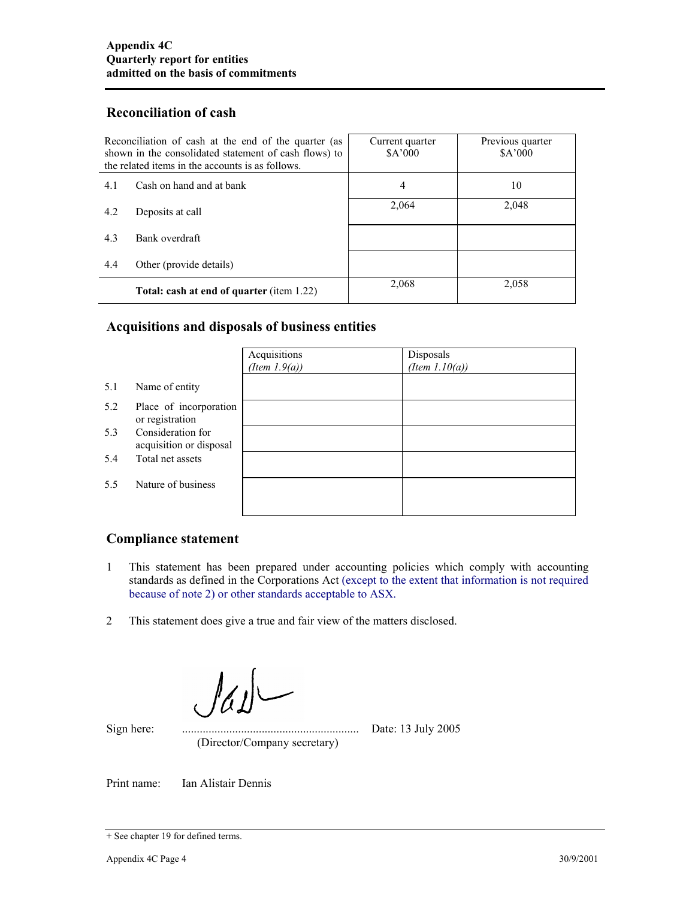#### **Reconciliation of cash**

| Reconciliation of cash at the end of the quarter (as<br>shown in the consolidated statement of cash flows) to<br>the related items in the accounts is as follows. |                                                  | Current quarter<br>\$A'000 | Previous quarter<br>\$A'000 |
|-------------------------------------------------------------------------------------------------------------------------------------------------------------------|--------------------------------------------------|----------------------------|-----------------------------|
| 4.1                                                                                                                                                               | Cash on hand and at bank                         | 4                          | 10                          |
| 4.2                                                                                                                                                               | Deposits at call                                 | 2,064                      | 2,048                       |
| 4.3                                                                                                                                                               | Bank overdraft                                   |                            |                             |
| 4.4                                                                                                                                                               | Other (provide details)                          |                            |                             |
|                                                                                                                                                                   | <b>Total: cash at end of quarter (item 1.22)</b> | 2,068                      | 2,058                       |

### **Acquisitions and disposals of business entities**

|     |                                              | Acquisitions<br>(Item $1.9(a)$ ) | Disposals<br>(Item $1.10(a)$ ) |
|-----|----------------------------------------------|----------------------------------|--------------------------------|
| 5.1 | Name of entity                               |                                  |                                |
| 5.2 | Place of incorporation<br>or registration    |                                  |                                |
| 5.3 | Consideration for<br>acquisition or disposal |                                  |                                |
| 5.4 | Total net assets                             |                                  |                                |
| 5.5 | Nature of business                           |                                  |                                |
|     |                                              |                                  |                                |

#### **Compliance statement**

- 1 This statement has been prepared under accounting policies which comply with accounting standards as defined in the Corporations Act (except to the extent that information is not required because of note 2) or other standards acceptable to ASX.
- 2 This statement does give a true and fair view of the matters disclosed.

Sign here:

Sign here: ............................................................ Date: 13 July 2005 (Director/Company secretary)

Print name: Ian Alistair Dennis

<sup>+</sup> See chapter 19 for defined terms.